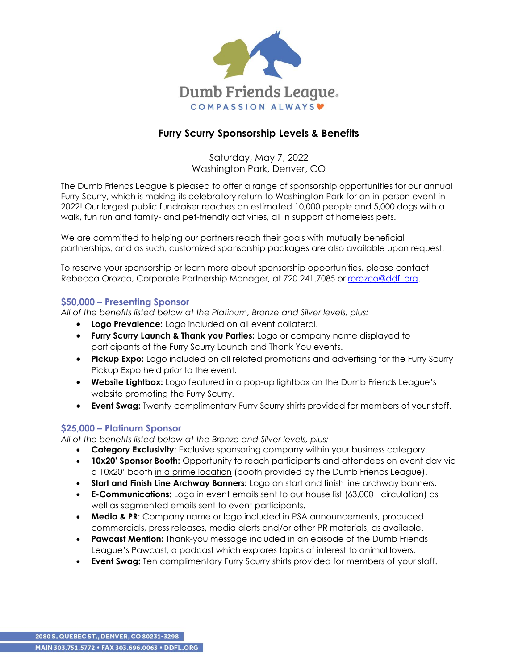

# **Furry Scurry Sponsorship Levels & Benefits**

Saturday, May 7, 2022 Washington Park, Denver, CO

The Dumb Friends League is pleased to offer a range of sponsorship opportunities for our annual Furry Scurry, which is making its celebratory return to Washington Park for an in-person event in 2022! Our largest public fundraiser reaches an estimated 10,000 people and 5,000 dogs with a walk, fun run and family- and pet-friendly activities, all in support of homeless pets.

We are committed to helping our partners reach their goals with mutually beneficial partnerships, and as such, customized sponsorship packages are also available upon request.

To reserve your sponsorship or learn more about sponsorship opportunities, please contact Rebecca Orozco, Corporate Partnership Manager, at 720.241.7085 or [rorozco@ddfl.org.](mailto:rorozco@ddfl.org)

## **\$50,000 – Presenting Sponsor**

*All of the benefits listed below at the Platinum, Bronze and Silver levels, plus:*

- **Logo Prevalence:** Logo included on all event collateral.
- **Furry Scurry Launch & Thank you Parties:** Logo or company name displayed to participants at the Furry Scurry Launch and Thank You events.
- **Pickup Expo:** Logo included on all related promotions and advertising for the Furry Scurry Pickup Expo held prior to the event.
- **Website Lightbox:** Logo featured in a pop-up lightbox on the Dumb Friends League's website promoting the Furry Scurry.
- **Event Swag:** Twenty complimentary Furry Scurry shirts provided for members of your staff.

### **\$25,000 – Platinum Sponsor**

*All of the benefits listed below at the Bronze and Silver levels, plus:*

- **Category Exclusivity**: Exclusive sponsoring company within your business category.
- **10x20' Sponsor Booth:** Opportunity to reach participants and attendees on event day via a 10x20' booth in a prime location (booth provided by the Dumb Friends League).
- **Start and Finish Line Archway Banners:** Logo on start and finish line archway banners.
- **E-Communications:** Logo in event emails sent to our house list (63,000+ circulation) as well as segmented emails sent to event participants.
- **Media & PR**: Company name or logo included in PSA announcements, produced commercials, press releases, media alerts and/or other PR materials, as available.
- **Pawcast Mention:** Thank-you message included in an episode of the Dumb Friends League's Pawcast, a podcast which explores topics of interest to animal lovers.
- **Event Swag:** Ten complimentary Furry Scurry shirts provided for members of your staff.